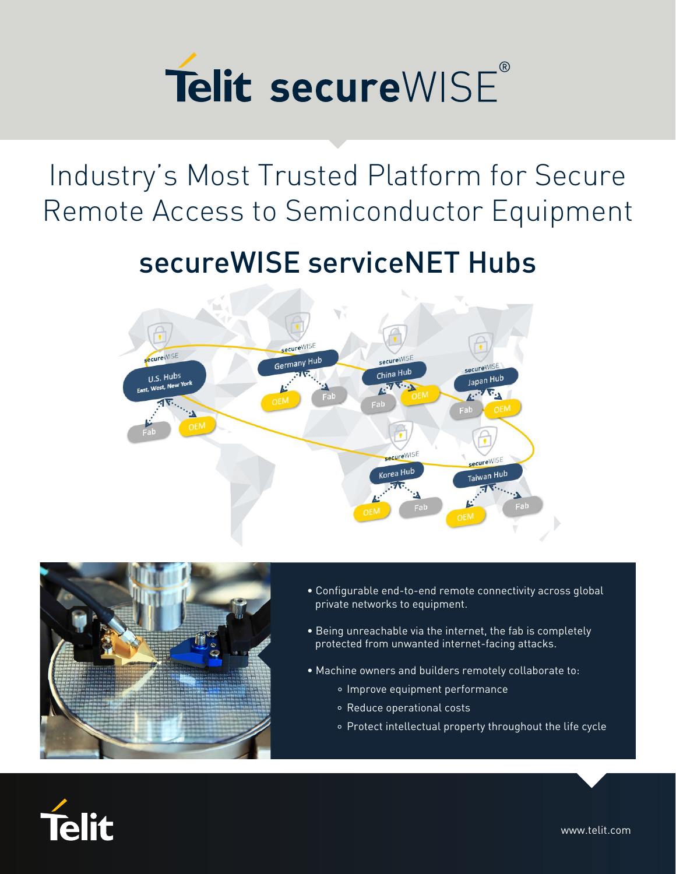

Industry's Most Trusted Platform for Secure Remote Access to Semiconductor Equipment

## secureWISE serviceNET Hubs





- Configurable end-to-end remote connectivity across global private networks to equipment.
- Being unreachable via the internet, the fab is completely protected from unwanted internet-facing attacks.
- Machine owners and builders remotely collaborate to:
	- o Improve equipment performance
	- Reduce operational costs
	- Protect intellectual property throughout the life cycle